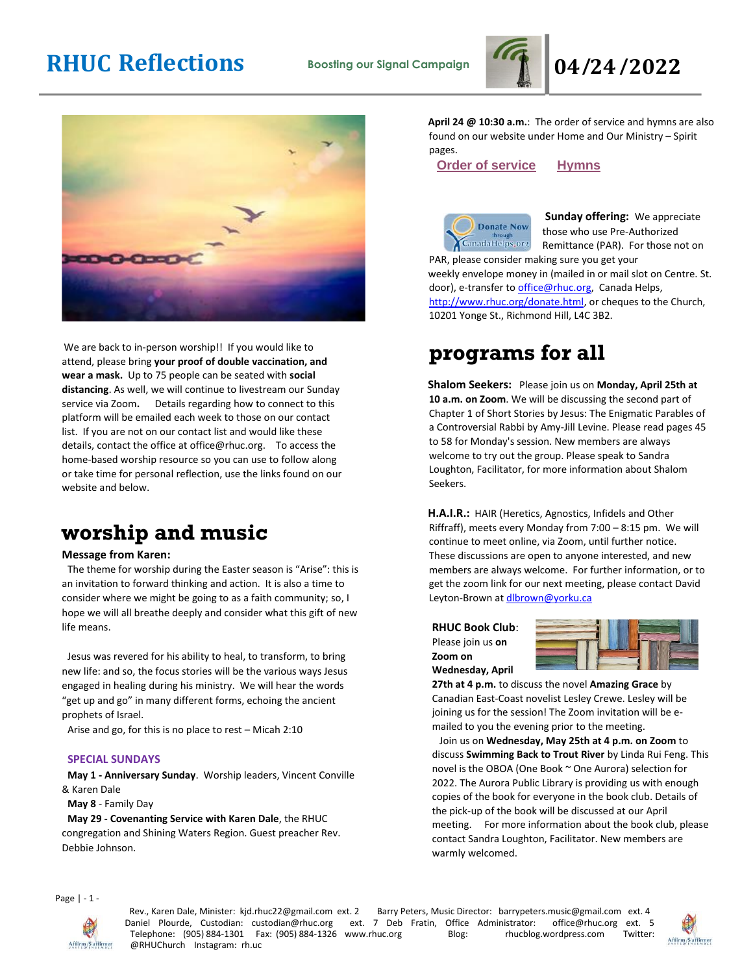



We are back to in-person worship!! If you would like to attend, please bring **your proof of double vaccination, and wear a mask.** Up to 75 people can be seated with **social distancing**. As well, we will continue to livestream our Sunday service via Zoom**.** Details regarding how to connect to this platform will be emailed each week to those on our contact list. If you are not on our contact list and would like these details, contact the office at office@rhuc.org. To access the home-based worship resource so you can use to follow along or take time for personal reflection, use the links found on our website and below.

# **worship and music**

#### **Message from Karen:**

The theme for worship during the Easter season is "Arise": this is an invitation to forward thinking and action. It is also a time to consider where we might be going to as a faith community; so, I hope we will all breathe deeply and consider what this gift of new life means.

Jesus was revered for his ability to heal, to transform, to bring new life: and so, the focus stories will be the various ways Jesus engaged in healing during his ministry. We will hear the words "get up and go" in many different forms, echoing the ancient prophets of Israel.

Arise and go, for this is no place to rest – Micah 2:10

#### **SPECIAL SUNDAYS**

**May 1 - Anniversary Sunday**. Worship leaders, Vincent Conville & Karen Dale

**May 8** - Family Day

**May 29 - Covenanting Service with Karen Dale**, the RHUC congregation and Shining Waters Region. Guest preacher Rev. Debbie Johnson.

**April 24 @ 10:30 a.m.**: The order of service and hymns are also found on our website under Home and Our Ministry – Spirit pages.

**Order of [service](http://rhuc.org/April%2024%20OofS.pdf) [Hymns](http://rhuc.org/Hymns%20for%202022%2004%2024.pdf)**



**Sunday offering:** We appreciate **Donate Now** those who use Pre-Authorized CanadaHelps<sub>e</sub>org Remittance (PAR). For those not on PAR, please consider making sure you get your weekly envelope money in (mailed in or mail slot on Centre. St. door), e-transfer to office@rhuc.org, Canada Helps, [http://www.rhuc.org/donate.html,](http://www.rhuc.org/donate.html) or cheques to the Church, 10201 Yonge St., Richmond Hill, L4C 3B2.

# **programs for all**

**Shalom Seekers:** Please join us on **Monday, April 25th at 10 a.m. on Zoom**. We will be discussing the second part of Chapter 1 of Short Stories by Jesus: The Enigmatic Parables of a Controversial Rabbi by Amy-Jill Levine. Please read pages 45 to 58 for Monday's session. New members are always welcome to try out the group. Please speak to Sandra Loughton, Facilitator, for more information about Shalom Seekers.

**H.A.I.R.:** HAIR (Heretics, Agnostics, Infidels and Other Riffraff), meets every Monday from 7:00 – 8:15 pm. We will continue to meet online, via Zoom, until further notice. These discussions are open to anyone interested, and new members are always welcome. For further information, or to get the zoom link for our next meeting, please contact David Leyton-Brown at dlbrown@yorku.ca

**RHUC Book Club**: Please join us **on Zoom on Wednesday, April** 



**27th at 4 p.m.** to discuss the novel **Amazing Grace** by Canadian East-Coast novelist Lesley Crewe. Lesley will be joining us for the session! The Zoom invitation will be emailed to you the evening prior to the meeting.

 Join us on **Wednesday, May 25th at 4 p.m. on Zoom** to discuss **Swimming Back to Trout River** by Linda Rui Feng. This novel is the OBOA (One Book ~ One Aurora) selection for 2022. The Aurora Public Library is providing us with enough copies of the book for everyone in the book club. Details of the pick-up of the book will be discussed at our April meeting. For more information about the book club, please contact Sandra Loughton, Facilitator. New members are warmly welcomed.

Page | - 1 -



Rev., Karen Dale, Minister: kjd.rhuc22@gmail.com ext. 2 Barry Peters, Music Director: barrypeters.music@gmail.com ext. 4 Daniel Plourde, Custodian: custodian@rhuc.org ext. 7 Deb Fratin, Office Administrator: office@rhuc.org ext. 5<br>Telephone: (905) 884-1301 Fax: (905) 884-1326 www.rhuc.org Blog: rhucblog.wordpress.com Twitter: Telephone: (905) 884-1301 Fax: (905) 884-1326 www.rhuc.org Blog: @RHUChurch Instagram: rh.uc

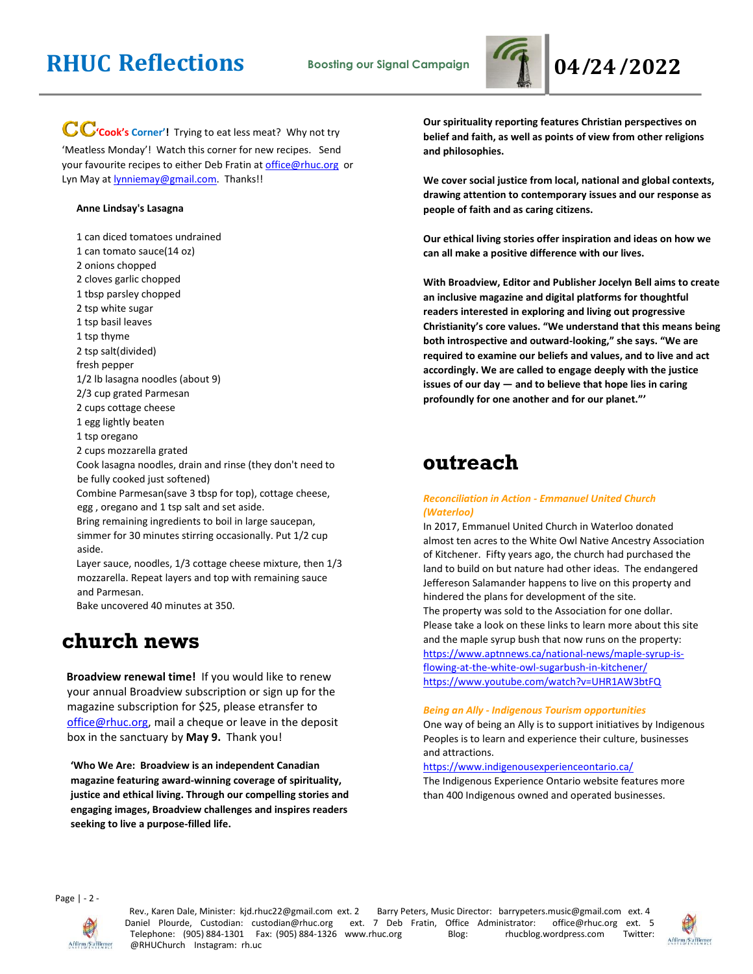

CC'cook's Corner'! Trying to eat less meat? Why not try 'Meatless Monday'! Watch this corner for new recipes. Send your favourite recipes to either Deb Fratin at [office@rhuc.org](mailto:office@rhuc.org) or Lyn May at **lynniemay@gmail.com**. Thanks!!

#### **Anne Lindsay's Lasagna**

1 can diced tomatoes undrained

- 1 can tomato sauce(14 oz)
- 2 onions chopped
- 2 cloves garlic chopped
- 1 tbsp parsley chopped
- 2 tsp white sugar
- 1 tsp basil leaves
- 1 tsp thyme
- 2 tsp salt(divided)
- fresh pepper
- 1/2 lb lasagna noodles (about 9)
- 2/3 cup grated Parmesan
- 2 cups cottage cheese
- 1 egg lightly beaten
- 1 tsp oregano
- 2 cups mozzarella grated
- Cook lasagna noodles, drain and rinse (they don't need to be fully cooked just softened)
- Combine Parmesan(save 3 tbsp for top), cottage cheese, egg , oregano and 1 tsp salt and set aside.
- Bring remaining ingredients to boil in large saucepan, simmer for 30 minutes stirring occasionally. Put 1/2 cup aside.
- Layer sauce, noodles, 1/3 cottage cheese mixture, then 1/3 mozzarella. Repeat layers and top with remaining sauce and Parmesan.
- Bake uncovered 40 minutes at 350.

### **church news**

**Broadview renewal time!** If you would like to renew your annual Broadview subscription or sign up for the magazine subscription for \$25, please etransfer to [office@rhuc.org,](mailto:office@rhuc.org) mail a cheque or leave in the deposit box in the sanctuary by **May 9.** Thank you!

**'Who We Are: Broadview is an independent Canadian magazine featuring award-winning coverage of spirituality, justice and ethical living. Through our compelling stories and engaging images, Broadview challenges and inspires readers seeking to live a purpose-filled life.**

**Our spirituality reporting features Christian perspectives on belief and faith, as well as points of view from other religions and philosophies.**

**We cover social justice from local, national and global contexts, drawing attention to contemporary issues and our response as people of faith and as caring citizens.**

**Our ethical living stories offer inspiration and ideas on how we can all make a positive difference with our lives.**

**With Broadview, Editor and Publisher Jocelyn Bell aims to create an inclusive magazine and digital platforms for thoughtful readers interested in exploring and living out progressive Christianity's core values. "We understand that this means being both introspective and outward-looking," she says. "We are required to examine our beliefs and values, and to live and act accordingly. We are called to engage deeply with the justice issues of our day — and to believe that hope lies in caring profoundly for one another and for our planet."'**

## **outreach**

#### *Reconciliation in Action - Emmanuel United Church (Waterloo)*

In 2017, Emmanuel United Church in Waterloo donated almost ten acres to the White Owl Native Ancestry Association of Kitchener. Fifty years ago, the church had purchased the land to build on but nature had other ideas. The endangered Jeffereson Salamander happens to live on this property and hindered the plans for development of the site. The property was sold to the Association for one dollar. Please take a look on these links to learn more about this site and the maple syrup bush that now runs on the property: [https://www.aptnnews.ca/national-news/maple-syrup-is](https://www.aptnnews.ca/national-news/maple-syrup-is-flowing-at-the-white-owl-sugarbush-in-kitchener/)[flowing-at-the-white-owl-sugarbush-in-kitchener/](https://www.aptnnews.ca/national-news/maple-syrup-is-flowing-at-the-white-owl-sugarbush-in-kitchener/) <https://www.youtube.com/watch?v=UHR1AW3btFQ>

#### *Being an Ally - Indigenous Tourism opportunities*

One way of being an Ally is to support initiatives by Indigenous Peoples is to learn and experience their culture, businesses and attractions.

#### <https://www.indigenousexperienceontario.ca/>

The Indigenous Experience Ontario website features more than 400 Indigenous owned and operated businesses.

Page | - 2 -



Rev., Karen Dale, Minister: kjd.rhuc22@gmail.com ext. 2 Barry Peters, Music Director: barrypeters.music@gmail.com ext. 4 Daniel Plourde, Custodian: custodian@rhuc.org ext. 7 Deb Fratin, Office Administrator: office@rhuc.org ext. 5 Telephone: (905) 884-1301 Fax: (905) 884-1326 www.rhuc.org Blog: rhucblog.wordpress.com Twitter: @RHUChurch Instagram: rh.uc

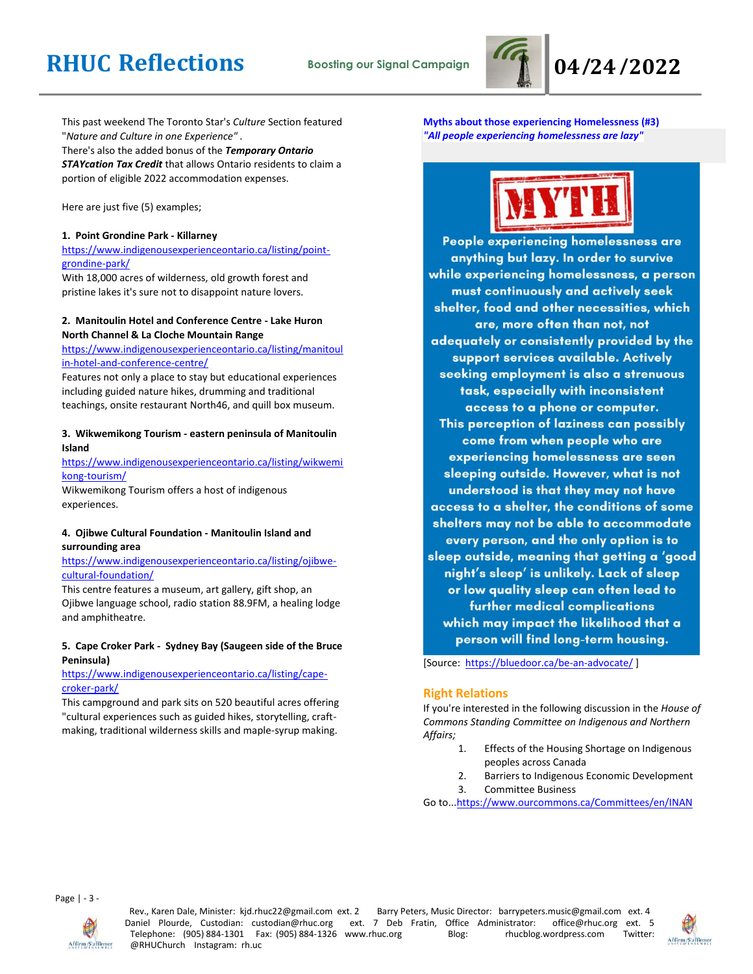

This past weekend The Toronto Star's *Culture* Section featured "*Nature and Culture in one Experience" .* There's also the added bonus of the *Temporary Ontario STAYcation Tax Credit* that allows Ontario residents to claim a portion of eligible 2022 accommodation expenses.

#### Here are just five (5) examples;

### **1. Point Grondine Park - Killarney**

[https://www.indigenousexperienceontario.ca/listing/point](https://www.indigenousexperienceontario.ca/listing/point-grondine-park/)[grondine-park/](https://www.indigenousexperienceontario.ca/listing/point-grondine-park/)

With 18,000 acres of wilderness, old growth forest and pristine lakes it's sure not to disappoint nature lovers.

### **2. Manitoulin Hotel and Conference Centre - Lake Huron North Channel & La Cloche Mountain Range**

[https://www.indigenousexperienceontario.ca/listing/manitoul](https://www.indigenousexperienceontario.ca/listing/manitoulin-hotel-and-conference-centre/) [in-hotel-and-conference-centre/](https://www.indigenousexperienceontario.ca/listing/manitoulin-hotel-and-conference-centre/)

Features not only a place to stay but educational experiences including guided nature hikes, drumming and traditional teachings, onsite restaurant North46, and quill box museum.

#### **3. Wikwemikong Tourism - eastern peninsula of Manitoulin Island**

[https://www.indigenousexperienceontario.ca/listing/wikwemi](https://www.indigenousexperienceontario.ca/listing/wikwemikong-tourism/) [kong-tourism/](https://www.indigenousexperienceontario.ca/listing/wikwemikong-tourism/)

Wikwemikong Tourism offers a host of indigenous experiences.

### **4. Ojibwe Cultural Foundation - Manitoulin Island and surrounding area**

[https://www.indigenousexperienceontario.ca/listing/ojibwe](https://www.indigenousexperienceontario.ca/listing/ojibwe-cultural-foundation/)[cultural-foundation/](https://www.indigenousexperienceontario.ca/listing/ojibwe-cultural-foundation/)

This centre features a museum, art gallery, gift shop, an Ojibwe language school, radio station 88.9FM, a healing lodge and amphitheatre.

#### **5. Cape Croker Park - Sydney Bay (Saugeen side of the Bruce Peninsula)**

#### [https://www.indigenousexperienceontario.ca/listing/cape](https://www.indigenousexperienceontario.ca/listing/cape-croker-park/)[croker-park/](https://www.indigenousexperienceontario.ca/listing/cape-croker-park/)

This campground and park sits on 520 beautiful acres offering "cultural experiences such as guided hikes, storytelling, craftmaking, traditional wilderness skills and maple-syrup making.

**Myths about those experiencing Homelessness (#3)** *"All people experiencing homelessness are lazy"*



People experiencing homelessness are anything but lazy. In order to survive while experiencing homelessness, a person must continuously and actively seek shelter, food and other necessities, which are, more often than not, not adequately or consistently provided by the support services available. Actively seeking employment is also a strenuous task, especially with inconsistent access to a phone or computer. This perception of laziness can possibly come from when people who are experiencing homelessness are seen sleeping outside. However, what is not understood is that they may not have access to a shelter, the conditions of some shelters may not be able to accommodate every person, and the only option is to sleep outside, meaning that getting a 'good night's sleep' is unlikely. Lack of sleep or low quality sleep can often lead to further medical complications which may impact the likelihood that a person will find long-term housing.

[Source: <https://bluedoor.ca/be-an-advocate/>]

#### **Right Relations**

If you're interested in the following discussion in the *House of Commons Standing Committee on Indigenous and Northern Affairs;*

- 1. Effects of the Housing Shortage on Indigenous peoples across Canada
- 2. Barriers to Indigenous Economic Development
- 3. Committee Business

Go to.[..https://www.ourcommons.ca/Committees/en/INAN](https://www.ourcommons.ca/Committees/en/INAN)

Page | - 3 -